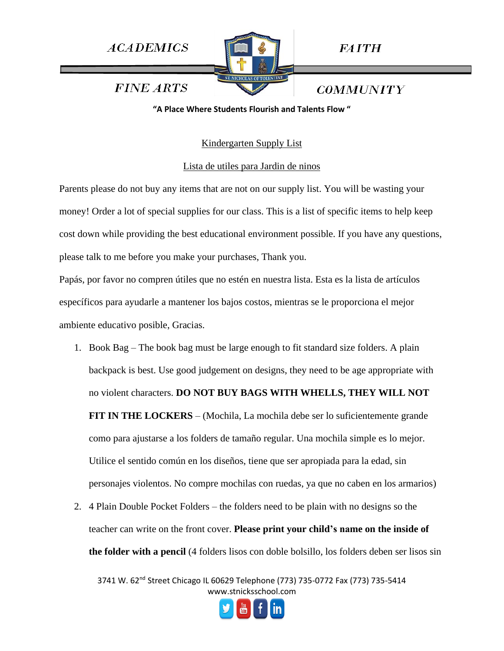

*FAITH* 

**COMMUNITY** 

**FINE ARTS** 

**"A Place Where Students Flourish and Talents Flow "**

# Kindergarten Supply List

## Lista de utiles para Jardin de ninos

Parents please do not buy any items that are not on our supply list. You will be wasting your money! Order a lot of special supplies for our class. This is a list of specific items to help keep cost down while providing the best educational environment possible. If you have any questions, please talk to me before you make your purchases, Thank you.

Papás, por favor no compren útiles que no estén en nuestra lista. Esta es la lista de artículos específicos para ayudarle a mantener los bajos costos, mientras se le proporciona el mejor ambiente educativo posible, Gracias.

- 1. Book Bag The book bag must be large enough to fit standard size folders. A plain backpack is best. Use good judgement on designs, they need to be age appropriate with no violent characters. **DO NOT BUY BAGS WITH WHELLS, THEY WILL NOT FIT IN THE LOCKERS** – (Mochila, La mochila debe ser lo suficientemente grande como para ajustarse a los folders de tamaño regular. Una mochila simple es lo mejor. Utilice el sentido común en los diseños, tiene que ser apropiada para la edad, sin personajes violentos. No compre mochilas con ruedas, ya que no caben en los armarios)
- 2. 4 Plain Double Pocket Folders the folders need to be plain with no designs so the teacher can write on the front cover. **Please print your child's name on the inside of the folder with a pencil** (4 folders lisos con doble bolsillo, los folders deben ser lisos sin

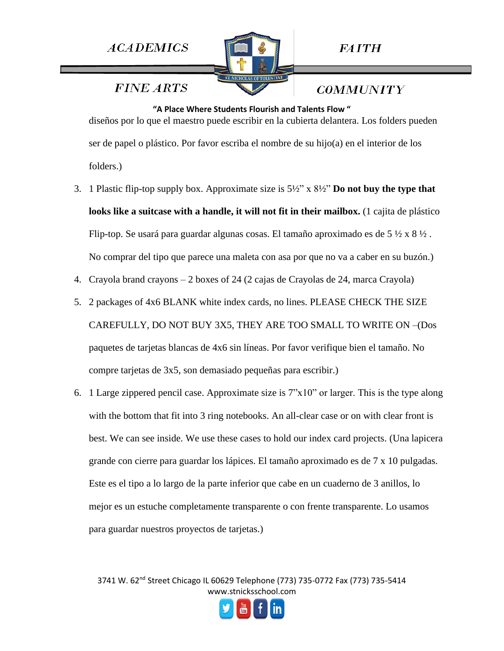

**FINE ARTS** 

*COMMUNITY* 

**"A Place Where Students Flourish and Talents Flow "** diseños por lo que el maestro puede escribir en la cubierta delantera. Los folders pueden ser de papel o plástico. Por favor escriba el nombre de su hijo(a) en el interior de los folders.)

- 3. 1 Plastic flip-top supply box. Approximate size is 5½" x 8½" **Do not buy the type that looks like a suitcase with a handle, it will not fit in their mailbox.** (1 cajita de plástico Flip-top. Se usará para guardar algunas cosas. El tamaño aproximado es de 5 ½ x 8 ½. No comprar del tipo que parece una maleta con asa por que no va a caber en su buzón.)
- 4. Crayola brand crayons 2 boxes of 24 (2 cajas de Crayolas de 24, marca Crayola)
- 5. 2 packages of 4x6 BLANK white index cards, no lines. PLEASE CHECK THE SIZE CAREFULLY, DO NOT BUY 3X5, THEY ARE TOO SMALL TO WRITE ON –(Dos paquetes de tarjetas blancas de 4x6 sin líneas. Por favor verifique bien el tamaño. No compre tarjetas de 3x5, son demasiado pequeñas para escribir.)
- 6. 1 Large zippered pencil case. Approximate size is  $7"x10"$  or larger. This is the type along with the bottom that fit into 3 ring notebooks. An all-clear case or on with clear front is best. We can see inside. We use these cases to hold our index card projects. (Una lapicera grande con cierre para guardar los lápices. El tamaño aproximado es de 7 x 10 pulgadas. Este es el tipo a lo largo de la parte inferior que cabe en un cuaderno de 3 anillos, lo mejor es un estuche completamente transparente o con frente transparente. Lo usamos para guardar nuestros proyectos de tarjetas.)

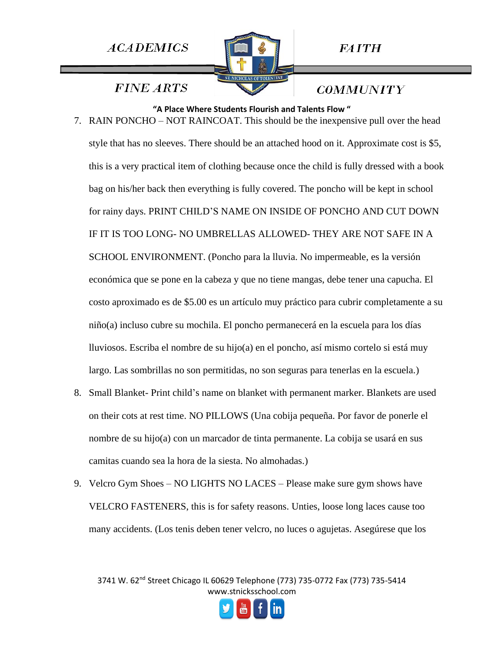

*FAITH* 

**FINE ARTS** 

*COMMUNITY* 

**"A Place Where Students Flourish and Talents Flow "** 7. RAIN PONCHO – NOT RAINCOAT. This should be the inexpensive pull over the head style that has no sleeves. There should be an attached hood on it. Approximate cost is \$5, this is a very practical item of clothing because once the child is fully dressed with a book bag on his/her back then everything is fully covered. The poncho will be kept in school for rainy days. PRINT CHILD'S NAME ON INSIDE OF PONCHO AND CUT DOWN IF IT IS TOO LONG- NO UMBRELLAS ALLOWED- THEY ARE NOT SAFE IN A SCHOOL ENVIRONMENT. (Poncho para la lluvia. No impermeable, es la versión económica que se pone en la cabeza y que no tiene mangas, debe tener una capucha. El costo aproximado es de \$5.00 es un artículo muy práctico para cubrir completamente a su niño(a) incluso cubre su mochila. El poncho permanecerá en la escuela para los días lluviosos. Escriba el nombre de su hijo(a) en el poncho, así mismo cortelo si está muy largo. Las sombrillas no son permitidas, no son seguras para tenerlas en la escuela.)

- 8. Small Blanket- Print child's name on blanket with permanent marker. Blankets are used on their cots at rest time. NO PILLOWS (Una cobija pequeña. Por favor de ponerle el nombre de su hijo(a) con un marcador de tinta permanente. La cobija se usará en sus camitas cuando sea la hora de la siesta. No almohadas.)
- 9. Velcro Gym Shoes NO LIGHTS NO LACES Please make sure gym shows have VELCRO FASTENERS, this is for safety reasons. Unties, loose long laces cause too many accidents. (Los tenis deben tener velcro, no luces o agujetas. Asegúrese que los

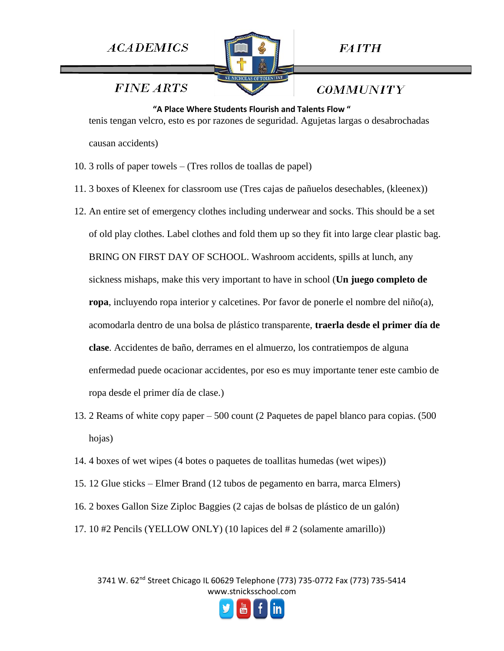

**FAITH** 

**FINE ARTS** 

*COMMUNITY* 

**"A Place Where Students Flourish and Talents Flow "** tenis tengan velcro, esto es por razones de seguridad. Agujetas largas o desabrochadas causan accidents)

- 10. 3 rolls of paper towels (Tres rollos de toallas de papel)
- 11. 3 boxes of Kleenex for classroom use (Tres cajas de pañuelos desechables, (kleenex))
- 12. An entire set of emergency clothes including underwear and socks. This should be a set of old play clothes. Label clothes and fold them up so they fit into large clear plastic bag. BRING ON FIRST DAY OF SCHOOL. Washroom accidents, spills at lunch, any sickness mishaps, make this very important to have in school (**Un juego completo de ropa**, incluyendo ropa interior y calcetines. Por favor de ponerle el nombre del niño(a), acomodarla dentro de una bolsa de plástico transparente, **traerla desde el primer día de clase**. Accidentes de baño, derrames en el almuerzo, los contratiempos de alguna enfermedad puede ocacionar accidentes, por eso es muy importante tener este cambio de ropa desde el primer día de clase.)
- 13. 2 Reams of white copy paper 500 count (2 Paquetes de papel blanco para copias. (500 hojas)
- 14. 4 boxes of wet wipes (4 botes o paquetes de toallitas humedas (wet wipes))
- 15. 12 Glue sticks Elmer Brand (12 tubos de pegamento en barra, marca Elmers)
- 16. 2 boxes Gallon Size Ziploc Baggies (2 cajas de bolsas de plástico de un galón)
- 17. 10 #2 Pencils (YELLOW ONLY) (10 lapices del # 2 (solamente amarillo))

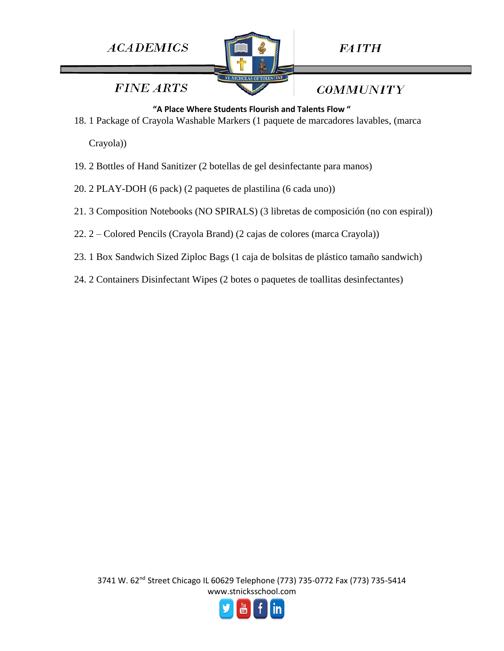

**FAITH** 

**FINE ARTS** 

**COMMUNITY** 

#### **"A Place Where Students Flourish and Talents Flow "**

18. 1 Package of Crayola Washable Markers (1 paquete de marcadores lavables, (marca

Crayola))

- 19. 2 Bottles of Hand Sanitizer (2 botellas de gel desinfectante para manos)
- 20. 2 PLAY-DOH (6 pack) (2 paquetes de plastilina (6 cada uno))
- 21. 3 Composition Notebooks (NO SPIRALS) (3 libretas de composición (no con espiral))
- 22. 2 Colored Pencils (Crayola Brand) (2 cajas de colores (marca Crayola))
- 23. 1 Box Sandwich Sized Ziploc Bags (1 caja de bolsitas de plástico tamaño sandwich)
- 24. 2 Containers Disinfectant Wipes (2 botes o paquetes de toallitas desinfectantes)

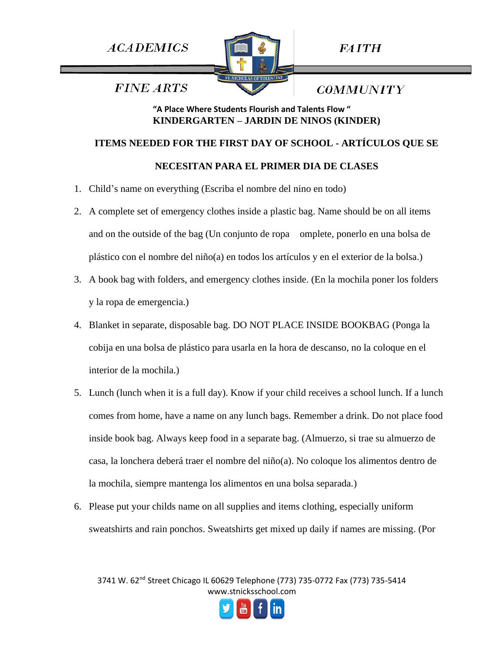

**FAITH** 

*COMMUNITY* 

**FINE ARTS** 

## **"A Place Where Students Flourish and Talents Flow " KINDERGARTEN – JARDIN DE NINOS (KINDER)**

### **ITEMS NEEDED FOR THE FIRST DAY OF SCHOOL - ARTÍCULOS QUE SE**

### **NECESITAN PARA EL PRIMER DIA DE CLASES**

- 1. Child's name on everything (Escriba el nombre del nino en todo)
- 2. A complete set of emergency clothes inside a plastic bag. Name should be on all items and on the outside of the bag (Un conjunto de ropa omplete, ponerlo en una bolsa de plástico con el nombre del niño(a) en todos los artículos y en el exterior de la bolsa.)
- 3. A book bag with folders, and emergency clothes inside. (En la mochila poner los folders y la ropa de emergencia.)
- 4. Blanket in separate, disposable bag. DO NOT PLACE INSIDE BOOKBAG (Ponga la cobija en una bolsa de plástico para usarla en la hora de descanso, no la coloque en el interior de la mochila.)
- 5. Lunch (lunch when it is a full day). Know if your child receives a school lunch. If a lunch comes from home, have a name on any lunch bags. Remember a drink. Do not place food inside book bag. Always keep food in a separate bag. (Almuerzo, si trae su almuerzo de casa, la lonchera deberá traer el nombre del niño(a). No coloque los alimentos dentro de la mochila, siempre mantenga los alimentos en una bolsa separada.)
- 6. Please put your childs name on all supplies and items clothing, especially uniform sweatshirts and rain ponchos. Sweatshirts get mixed up daily if names are missing. (Por